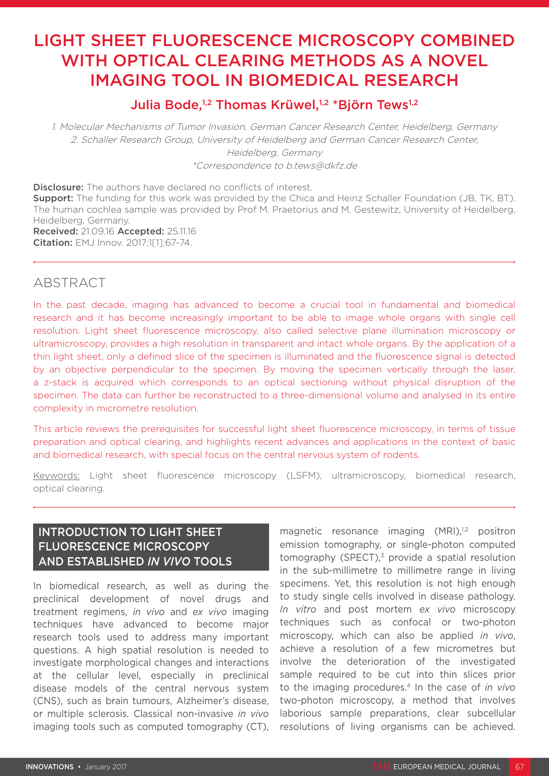# LIGHT SHEET FLUORESCENCE MICROSCOPY COMBINED WITH OPTICAL CLEARING METHODS AS A NOVEL IMAGING TOOL IN BIOMEDICAL RESEARCH

## Julia Bode,<sup>1,2</sup> Thomas Krüwel,<sup>1,2</sup> \*Björn Tews<sup>1,2</sup>

1. Molecular Mechanisms of Tumor Invasion, German Cancer Research Center, Heidelberg, Germany 2. Schaller Research Group, University of Heidelberg and German Cancer Research Center, Heidelberg, Germany \*Correspondence to b.tews@dkfz.de

**Disclosure:** The authors have declared no conflicts of interest. **Support:** The funding for this work was provided by the Chica and Heinz Schaller Foundation (JB, TK, BT). The human cochlea sample was provided by Prof M. Praetorius and M. Gestewitz, University of Heidelberg, Heidelberg, Germany. Received: 21.09.16 Accepted: 25.11.16 Citation: EMJ Innov. 2017;1[1]:67-74.

### ABSTRACT

In the past decade, imaging has advanced to become a crucial tool in fundamental and biomedical research and it has become increasingly important to be able to image whole organs with single cell resolution. Light sheet fluorescence microscopy, also called selective plane illumination microscopy or ultramicroscopy, provides a high resolution in transparent and intact whole organs. By the application of a thin light sheet, only a defined slice of the specimen is illuminated and the fluorescence signal is detected by an objective perpendicular to the specimen. By moving the specimen vertically through the laser, a z-stack is acquired which corresponds to an optical sectioning without physical disruption of the specimen. The data can further be reconstructed to a three-dimensional volume and analysed in its entire complexity in micrometre resolution.

This article reviews the prerequisites for successful light sheet fluorescence microscopy, in terms of tissue preparation and optical clearing, and highlights recent advances and applications in the context of basic and biomedical research, with special focus on the central nervous system of rodents.

Keywords: Light sheet fluorescence microscopy (LSFM), ultramicroscopy, biomedical research, optical clearing.

### INTRODUCTION TO LIGHT SHEET FLUORESCENCE MICROSCOPY AND ESTABLISHED *IN VIVO* TOOLS

In biomedical research, as well as during the preclinical development of novel drugs and treatment regimens, *in vivo* and *ex vivo* imaging techniques have advanced to become major research tools used to address many important questions. A high spatial resolution is needed to investigate morphological changes and interactions at the cellular level, especially in preclinical disease models of the central nervous system (CNS), such as brain tumours, Alzheimer's disease, or multiple sclerosis. Classical non-invasive *in vivo* imaging tools such as computed tomography (CT), magnetic resonance imaging  $(MRI)$ ,<sup>1,2</sup> positron emission tomography, or single-photon computed tomography (SPECT), $3$  provide a spatial resolution in the sub-millimetre to millimetre range in living specimens. Yet, this resolution is not high enough to study single cells involved in disease pathology. *In vitro* and post mortem *ex vivo* microscopy techniques such as confocal or two-photon microscopy, which can also be applied *in vivo*, achieve a resolution of a few micrometres but involve the deterioration of the investigated sample required to be cut into thin slices prior to the imaging procedures.4 In the case of *in vivo* two-photon microscopy, a method that involves laborious sample preparations, clear subcellular resolutions of living organisms can be achieved.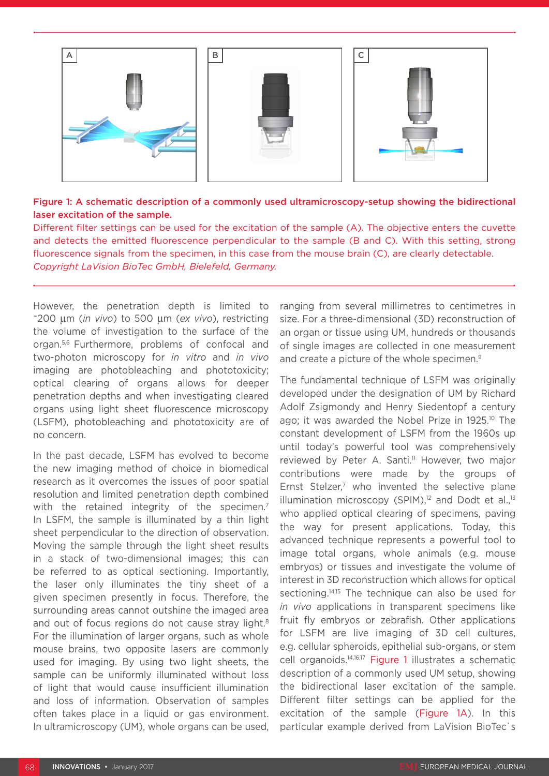

### Figure 1: A schematic description of a commonly used ultramicroscopy-setup showing the bidirectional laser excitation of the sample.

Different filter settings can be used for the excitation of the sample (A). The objective enters the cuvette and detects the emitted fluorescence perpendicular to the sample (B and C). With this setting, strong fluorescence signals from the specimen, in this case from the mouse brain (C), are clearly detectable. *Copyright LaVision BioTec GmbH, Bielefeld, Germany.*

However, the penetration depth is limited to ~200 µm (*in vivo*) to 500 µm (*ex vivo*), restricting the volume of investigation to the surface of the organ.5,6 Furthermore, problems of confocal and two-photon microscopy for *in vitro* and *in vivo* imaging are photobleaching and phototoxicity; optical clearing of organs allows for deeper penetration depths and when investigating cleared organs using light sheet fluorescence microscopy (LSFM), photobleaching and phototoxicity are of no concern.

In the past decade, LSFM has evolved to become the new imaging method of choice in biomedical research as it overcomes the issues of poor spatial resolution and limited penetration depth combined with the retained integrity of the specimen.<sup>7</sup> In LSFM, the sample is illuminated by a thin light sheet perpendicular to the direction of observation. Moving the sample through the light sheet results in a stack of two-dimensional images; this can be referred to as optical sectioning. Importantly, the laser only illuminates the tiny sheet of a given specimen presently in focus. Therefore, the surrounding areas cannot outshine the imaged area and out of focus regions do not cause stray light.<sup>8</sup> For the illumination of larger organs, such as whole mouse brains, two opposite lasers are commonly used for imaging. By using two light sheets, the sample can be uniformly illuminated without loss of light that would cause insufficient illumination and loss of information. Observation of samples often takes place in a liquid or gas environment. In ultramicroscopy (UM), whole organs can be used,

ranging from several millimetres to centimetres in size. For a three-dimensional (3D) reconstruction of an organ or tissue using UM, hundreds or thousands of single images are collected in one measurement and create a picture of the whole specimen.<sup>9</sup>

The fundamental technique of LSFM was originally developed under the designation of UM by Richard Adolf Zsigmondy and Henry Siedentopf a century ago; it was awarded the Nobel Prize in 1925.<sup>10</sup> The constant development of LSFM from the 1960s up until today's powerful tool was comprehensively reviewed by Peter A. Santi.<sup>11</sup> However, two major contributions were made by the groups of Ernst Stelzer,<sup>7</sup> who invented the selective plane illumination microscopy (SPIM), $12$  and Dodt et al., $13$ who applied optical clearing of specimens, paving the way for present applications. Today, this advanced technique represents a powerful tool to image total organs, whole animals (e.g. mouse embryos) or tissues and investigate the volume of interest in 3D reconstruction which allows for optical sectioning.<sup>14,15</sup> The technique can also be used for *in vivo* applications in transparent specimens like fruit fly embryos or zebrafish. Other applications for LSFM are live imaging of 3D cell cultures, e.g. cellular spheroids, epithelial sub-organs, or stem cell organoids.14,16,17 Figure 1 illustrates a schematic description of a commonly used UM setup, showing the bidirectional laser excitation of the sample. Different filter settings can be applied for the excitation of the sample (Figure 1A). In this particular example derived from LaVision BioTec`s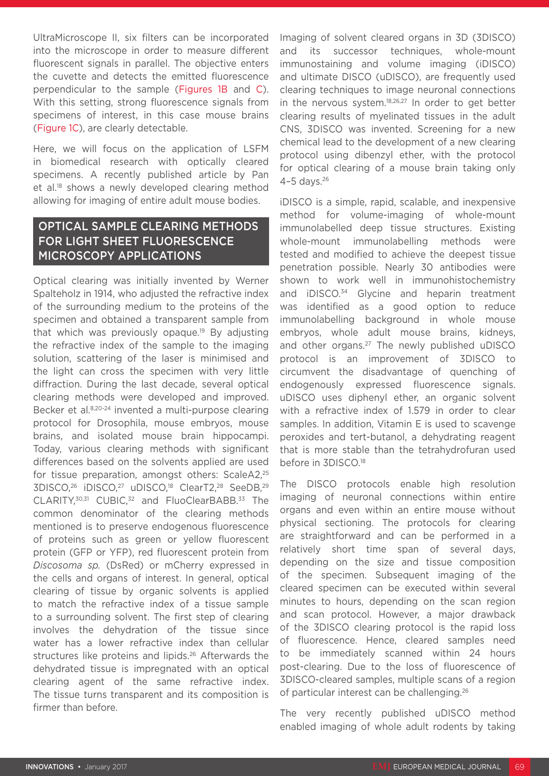UltraMicroscope II, six filters can be incorporated into the microscope in order to measure different fluorescent signals in parallel. The objective enters the cuvette and detects the emitted fluorescence perpendicular to the sample (Figures 1B and C). With this setting, strong fluorescence signals from specimens of interest, in this case mouse brains (Figure 1C), are clearly detectable.

Here, we will focus on the application of LSFM in biomedical research with optically cleared specimens. A recently published article by Pan et al.<sup>18</sup> shows a newly developed clearing method allowing for imaging of entire adult mouse bodies.

### OPTICAL SAMPLE CLEARING METHODS FOR LIGHT SHEET FLUORESCENCE MICROSCOPY APPLICATIONS

Optical clearing was initially invented by Werner Spalteholz in 1914, who adjusted the refractive index of the surrounding medium to the proteins of the specimen and obtained a transparent sample from that which was previously opaque.<sup>19</sup> By adjusting the refractive index of the sample to the imaging solution, scattering of the laser is minimised and the light can cross the specimen with very little diffraction. During the last decade, several optical clearing methods were developed and improved. Becker et al.8,20-24 invented a multi-purpose clearing protocol for Drosophila, mouse embryos, mouse brains, and isolated mouse brain hippocampi. Today, various clearing methods with significant differences based on the solvents applied are used for tissue preparation, amongst others: ScaleA2,<sup>25</sup> 3DISCO,<sup>26</sup> iDISCO,<sup>27</sup> uDISCO,<sup>18</sup> ClearT2,<sup>28</sup> SeeDB,<sup>29</sup> CLARITY,<sup>30,31</sup> CUBIC,<sup>32</sup> and FluoClearBABB.<sup>33</sup> The common denominator of the clearing methods mentioned is to preserve endogenous fluorescence of proteins such as green or yellow fluorescent protein (GFP or YFP), red fluorescent protein from *Discosoma sp.* (DsRed) or mCherry expressed in the cells and organs of interest. In general, optical clearing of tissue by organic solvents is applied to match the refractive index of a tissue sample to a surrounding solvent. The first step of clearing involves the dehydration of the tissue since water has a lower refractive index than cellular structures like proteins and lipids.<sup>26</sup> Afterwards the dehydrated tissue is impregnated with an optical clearing agent of the same refractive index. The tissue turns transparent and its composition is firmer than before.

Imaging of solvent cleared organs in 3D (3DISCO) and its successor techniques, whole-mount immunostaining and volume imaging (iDISCO) and ultimate DISCO (uDISCO), are frequently used clearing techniques to image neuronal connections in the nervous system.<sup>18,26,27</sup> In order to get better clearing results of myelinated tissues in the adult CNS, 3DISCO was invented. Screening for a new chemical lead to the development of a new clearing protocol using dibenzyl ether, with the protocol for optical clearing of a mouse brain taking only 4–5 days.26

iDISCO is a simple, rapid, scalable, and inexpensive method for volume-imaging of whole-mount immunolabelled deep tissue structures. Existing whole-mount immunolabelling methods were tested and modified to achieve the deepest tissue penetration possible. Nearly 30 antibodies were shown to work well in immunohistochemistry and iDISCO.<sup>34</sup> Glycine and heparin treatment was identified as a good option to reduce immunolabelling background in whole mouse embryos, whole adult mouse brains, kidneys, and other organs.27 The newly published uDISCO protocol is an improvement of 3DISCO to circumvent the disadvantage of quenching of endogenously expressed fluorescence signals. uDISCO uses diphenyl ether, an organic solvent with a refractive index of 1.579 in order to clear samples. In addition, Vitamin E is used to scavenge peroxides and tert-butanol, a dehydrating reagent that is more stable than the tetrahydrofuran used before in 3DISCO.<sup>18</sup>

The DISCO protocols enable high resolution imaging of neuronal connections within entire organs and even within an entire mouse without physical sectioning. The protocols for clearing are straightforward and can be performed in a relatively short time span of several days, depending on the size and tissue composition of the specimen. Subsequent imaging of the cleared specimen can be executed within several minutes to hours, depending on the scan region and scan protocol. However, a major drawback of the 3DISCO clearing protocol is the rapid loss of fluorescence. Hence, cleared samples need to be immediately scanned within 24 hours post-clearing. Due to the loss of fluorescence of 3DISCO-cleared samples, multiple scans of a region of particular interest can be challenging.26

The very recently published uDISCO method enabled imaging of whole adult rodents by taking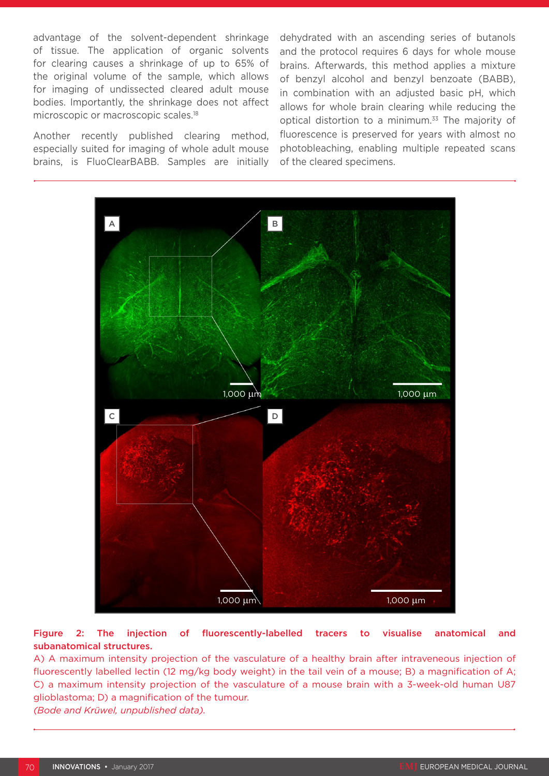advantage of the solvent-dependent shrinkage of tissue. The application of organic solvents for clearing causes a shrinkage of up to 65% of the original volume of the sample, which allows for imaging of undissected cleared adult mouse bodies. Importantly, the shrinkage does not affect microscopic or macroscopic scales.18

Another recently published clearing method, especially suited for imaging of whole adult mouse brains, is FluoClearBABB. Samples are initially dehydrated with an ascending series of butanols and the protocol requires 6 days for whole mouse brains. Afterwards, this method applies a mixture of benzyl alcohol and benzyl benzoate (BABB), in combination with an adjusted basic pH, which allows for whole brain clearing while reducing the optical distortion to a minimum.<sup>33</sup> The majority of fluorescence is preserved for years with almost no photobleaching, enabling multiple repeated scans of the cleared specimens.



#### Figure 2: The injection of fluorescently-labelled tracers to visualise anatomical and subanatomical structures.

A) A maximum intensity projection of the vasculature of a healthy brain after intraveneous injection of fluorescently labelled lectin (12 mg/kg body weight) in the tail vein of a mouse; B) a magnification of A; C) a maximum intensity projection of the vasculature of a mouse brain with a 3-week-old human U87 glioblastoma; D) a magnification of the tumour.

*(Bode and Krüwel, unpublished data).*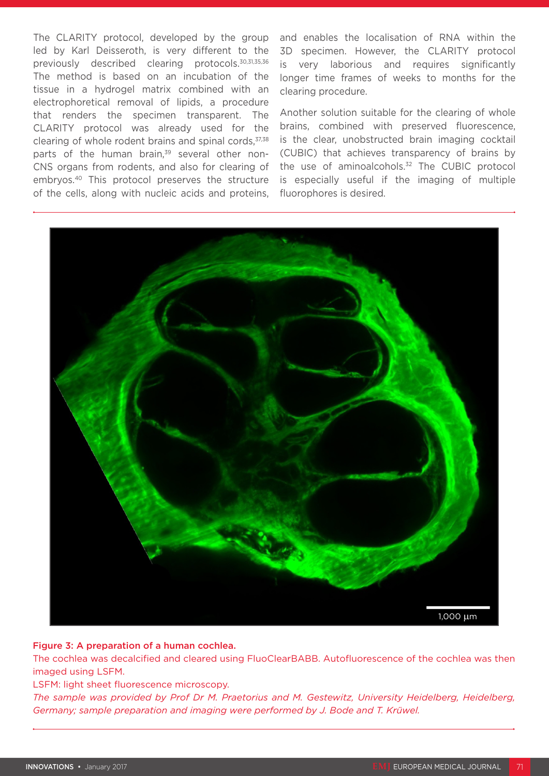The CLARITY protocol, developed by the group led by Karl Deisseroth, is very different to the previously described clearing protocols.30,31,35,36 The method is based on an incubation of the tissue in a hydrogel matrix combined with an electrophoretical removal of lipids, a procedure that renders the specimen transparent. The CLARITY protocol was already used for the clearing of whole rodent brains and spinal cords, $37,38$ parts of the human brain,<sup>39</sup> several other non-CNS organs from rodents, and also for clearing of embryos.40 This protocol preserves the structure of the cells, along with nucleic acids and proteins, and enables the localisation of RNA within the 3D specimen. However, the CLARITY protocol is very laborious and requires significantly longer time frames of weeks to months for the clearing procedure.

Another solution suitable for the clearing of whole brains, combined with preserved fluorescence, is the clear, unobstructed brain imaging cocktail (CUBIC) that achieves transparency of brains by the use of aminoalcohols.32 The CUBIC protocol is especially useful if the imaging of multiple fluorophores is desired.



#### Figure 3: A preparation of a human cochlea.

The cochlea was decalcified and cleared using FluoClearBABB. Autofluorescence of the cochlea was then imaged using LSFM.

#### LSFM: light sheet fluorescence microscopy.

*The sample was provided by Prof Dr M. Praetorius and M. Gestewitz, University Heidelberg, Heidelberg, Germany; sample preparation and imaging were performed by J. Bode and T. Krüwel.*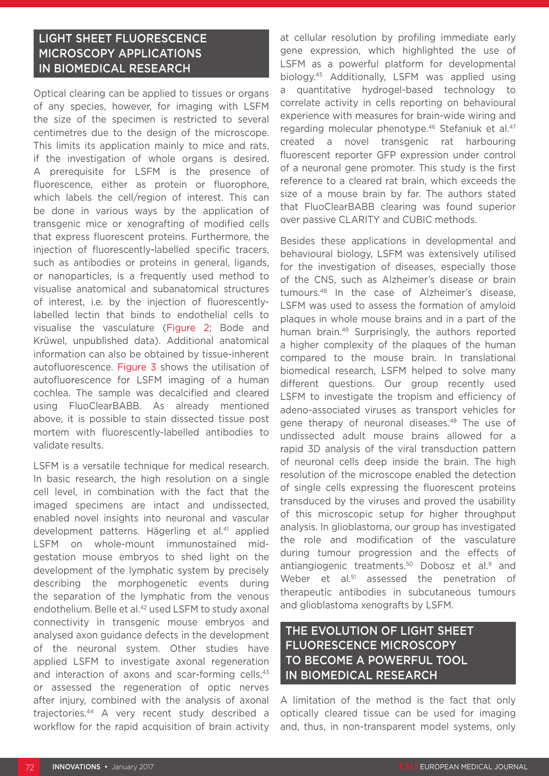### LIGHT SHEET FLUORESCENCE MICROSCOPY APPLICATIONS IN BIOMEDICAL RESEARCH

Optical clearing can be applied to tissues or organs of any species, however, for imaging with LSFM the size of the specimen is restricted to several centimetres due to the design of the microscope. This limits its application mainly to mice and rats, if the investigation of whole organs is desired. A prerequisite for LSFM is the presence of fluorescence, either as protein or fluorophore, which labels the cell/region of interest. This can be done in various ways by the application of transgenic mice or xenografting of modified cells that express fluorescent proteins. Furthermore, the injection of fluorescently-labelled specific tracers, such as antibodies or proteins in general, ligands, or nanoparticles, is a frequently used method to visualise anatomical and subanatomical structures of interest, i.e. by the injection of fluorescentlylabelled lectin that binds to endothelial cells to visualise the vasculature (Figure 2; Bode and Krüwel, unpublished data). Additional anatomical information can also be obtained by tissue-inherent autofluorescence. Figure 3 shows the utilisation of autofluorescence for LSFM imaging of a human cochlea. The sample was decalcified and cleared using FluoClearBABB. As already mentioned above, it is possible to stain dissected tissue post mortem with fluorescently-labelled antibodies to validate results.

LSFM is a versatile technique for medical research. In basic research, the high resolution on a single cell level, in combination with the fact that the imaged specimens are intact and undissected, enabled novel insights into neuronal and vascular development patterns. Hägerling et al.<sup>41</sup> applied LSFM on whole-mount immunostained midgestation mouse embryos to shed light on the development of the lymphatic system by precisely describing the morphogenetic events during the separation of the lymphatic from the venous endothelium. Belle et al.<sup>42</sup> used LSFM to study axonal connectivity in transgenic mouse embryos and analysed axon guidance defects in the development of the neuronal system. Other studies have applied LSFM to investigate axonal regeneration and interaction of axons and scar-forming cells,<sup>43</sup> or assessed the regeneration of optic nerves after injury, combined with the analysis of axonal trajectories.44 A very recent study described a workflow for the rapid acquisition of brain activity

at cellular resolution by profiling immediate early gene expression, which highlighted the use of LSFM as a powerful platform for developmental biology.45 Additionally, LSFM was applied using a quantitative hydrogel-based technology to correlate activity in cells reporting on behavioural experience with measures for brain-wide wiring and regarding molecular phenotype.<sup>46</sup> Stefaniuk et al.<sup>47</sup> created a novel transgenic rat harbouring fluorescent reporter GFP expression under control of a neuronal gene promoter. This study is the first reference to a cleared rat brain, which exceeds the size of a mouse brain by far. The authors stated that FluoClearBABB clearing was found superior over passive CLARITY and CUBIC methods.

Besides these applications in developmental and behavioural biology, LSFM was extensively utilised for the investigation of diseases, especially those of the CNS, such as Alzheimer's disease or brain tumours.48 In the case of Alzheimer's disease, LSFM was used to assess the formation of amyloid plaques in whole mouse brains and in a part of the human brain.<sup>49</sup> Surprisingly, the authors reported a higher complexity of the plaques of the human compared to the mouse brain. In translational biomedical research, LSFM helped to solve many different questions. Our group recently used LSFM to investigate the tropism and efficiency of adeno-associated viruses as transport vehicles for gene therapy of neuronal diseases.<sup>48</sup> The use of undissected adult mouse brains allowed for a rapid 3D analysis of the viral transduction pattern of neuronal cells deep inside the brain. The high resolution of the microscope enabled the detection of single cells expressing the fluorescent proteins transduced by the viruses and proved the usability of this microscopic setup for higher throughput analysis. In glioblastoma, our group has investigated the role and modification of the vasculature during tumour progression and the effects of antiangiogenic treatments.<sup>50</sup> Dobosz et al.<sup>9</sup> and Weber et al.<sup>51</sup> assessed the penetration of therapeutic antibodies in subcutaneous tumours and glioblastoma xenografts by LSFM.

### THE EVOLUTION OF LIGHT SHEET FLUORESCENCE MICROSCOPY TO BECOME A POWERFUL TOOL IN BIOMEDICAL RESEARCH

A limitation of the method is the fact that only optically cleared tissue can be used for imaging and, thus, in non-transparent model systems, only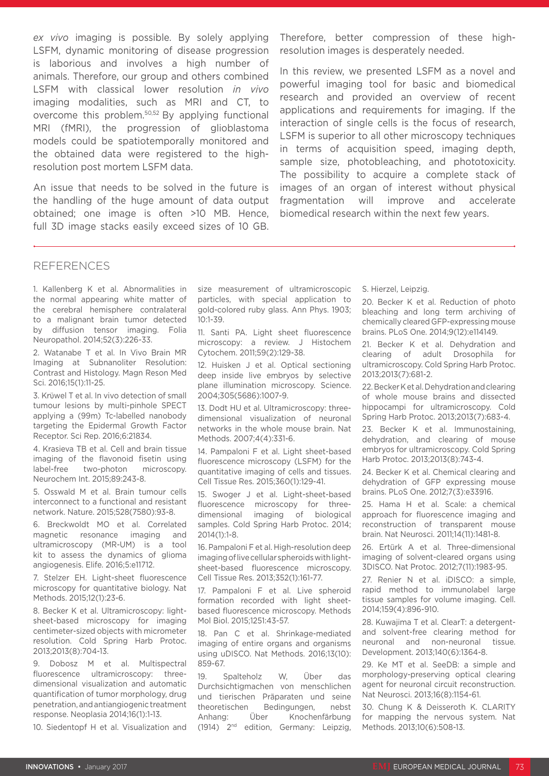*ex vivo* imaging is possible. By solely applying LSFM, dynamic monitoring of disease progression is laborious and involves a high number of animals. Therefore, our group and others combined LSFM with classical lower resolution *in vivo* imaging modalities, such as MRI and CT, to overcome this problem.50,52 By applying functional MRI (fMRI), the progression of glioblastoma models could be spatiotemporally monitored and the obtained data were registered to the highresolution post mortem LSFM data.

An issue that needs to be solved in the future is the handling of the huge amount of data output obtained; one image is often >10 MB. Hence, full 3D image stacks easily exceed sizes of 10 GB. Therefore, better compression of these highresolution images is desperately needed.

In this review, we presented LSFM as a novel and powerful imaging tool for basic and biomedical research and provided an overview of recent applications and requirements for imaging. If the interaction of single cells is the focus of research, LSFM is superior to all other microscopy techniques in terms of acquisition speed, imaging depth, sample size, photobleaching, and phototoxicity. The possibility to acquire a complete stack of images of an organ of interest without physical fragmentation will improve and accelerate biomedical research within the next few years.

#### REFERENCES

1. Kallenberg K et al. Abnormalities in the normal appearing white matter of the cerebral hemisphere contralateral to a malignant brain tumor detected by diffusion tensor imaging. Folia Neuropathol. 2014;52(3):226-33.

2. Watanabe T et al. In Vivo Brain MR Imaging at Subnanoliter Resolution: Contrast and Histology. Magn Reson Med Sci. 2016;15(1):11-25.

3. Krϋwel T et al. In vivo detection of small tumour lesions by multi-pinhole SPECT applying a (99m) Tc-labelled nanobody targeting the Epidermal Growth Factor Receptor. Sci Rep. 2016;6:21834.

4. Krasieva TB et al. Cell and brain tissue imaging of the flavonoid fisetin using label-free two-photon microscopy. Neurochem Int. 2015;89:243-8.

5. Osswald M et al. Brain tumour cells interconnect to a functional and resistant network. Nature. 2015;528(7580):93-8.

6. Breckwoldt MO et al. Correlated magnetic resonance imaging and ultramicroscopy (MR-UM) is a tool kit to assess the dynamics of glioma angiogenesis. Elife. 2016;5:e11712.

7. Stelzer EH. Light-sheet fluorescence microscopy for quantitative biology. Nat Methods. 2015;12(1):23-6.

8. Becker K et al. Ultramicroscopy: lightsheet-based microscopy for imaging centimeter-sized objects with micrometer resolution. Cold Spring Harb Protoc. 2013;2013(8):704-13.

9. Dobosz M et al. Multispectral fluorescence ultramicroscopy: threedimensional visualization and automatic quantification of tumor morphology, drug penetration, and antiangiogenic treatment response. Neoplasia 2014;16(1):1-13.

10. Siedentopf H et al. Visualization and

size measurement of ultramicroscopic particles, with special application to gold-colored ruby glass. Ann Phys. 1903;  $10.1 - 39$ 

11. Santi PA. Light sheet fluorescence microscopy: a review. J Histochem Cytochem. 2011;59(2):129-38.

12. Huisken J et al. Optical sectioning deep inside live embryos by selective plane illumination microscopy. Science. 2004;305(5686):1007-9.

13. Dodt HU et al. Ultramicroscopy: threedimensional visualization of neuronal networks in the whole mouse brain. Nat Methods. 2007;4(4):331-6.

14. Pampaloni F et al. Light sheet-based fluorescence microscopy (LSFM) for the quantitative imaging of cells and tissues. Cell Tissue Res. 2015;360(1):129-41.

15. Swoger J et al. Light-sheet-based fluorescence microscopy for threedimensional imaging of biological samples. Cold Spring Harb Protoc. 2014; 2014(1):1-8.

16. Pampaloni F et al. High-resolution deep imaging of live cellular spheroids with lightsheet-based fluorescence microscopy. Cell Tissue Res. 2013;352(1):161-77.

17. Pampaloni F et al. Live spheroid formation recorded with light sheetbased fluorescence microscopy. Methods Mol Biol. 2015;1251:43-57.

18. Pan C et al. Shrinkage-mediated imaging of entire organs and organisms using uDISCO. Nat Methods. 2016;13(10): 859-67.

19. Spalteholz W, Über das Durchsichtigmachen von menschlichen und tierischen Präparaten und seine theoretischen Bedingungen, nebst Anhang: Über Knochenfärbung (1914) 2nd edition, Germany: Leipzig,

#### S. Hierzel, Leipzig.

20. Becker K et al. Reduction of photo bleaching and long term archiving of chemically cleared GFP-expressing mouse brains. PLoS One. 2014;9(12):e114149.

21. Becker K et al. Dehydration and clearing of adult Drosophila for ultramicroscopy. Cold Spring Harb Protoc. 2013;2013(7):681-2.

22. Becker K et al. Dehydration and clearing of whole mouse brains and dissected hippocampi for ultramicroscopy. Cold Spring Harb Protoc. 2013;2013(7):683-4.

23. Becker K et al. Immunostaining, dehydration, and clearing of mouse embryos for ultramicroscopy. Cold Spring Harb Protoc. 2013;2013(8):743-4.

24. Becker K et al. Chemical clearing and dehydration of GFP expressing mouse brains. PLoS One. 2012;7(3):e33916.

25. Hama H et al. Scale: a chemical approach for fluorescence imaging and reconstruction of transparent mouse brain. Nat Neurosci. 2011;14(11):1481-8.

26. Ertürk A et al. Three-dimensional imaging of solvent-cleared organs using 3DISCO. Nat Protoc. 2012;7(11):1983-95.

27. Renier N et al. iDISCO: a simple, rapid method to immunolabel large tissue samples for volume imaging. Cell. 2014;159(4):896-910.

28. Kuwajima T et al. ClearT: a detergentand solvent-free clearing method for neuronal and non-neuronal tissue. Development. 2013;140(6):1364-8.

29. Ke MT et al. SeeDB: a simple and morphology-preserving optical clearing agent for neuronal circuit reconstruction. Nat Neurosci. 2013;16(8):1154-61.

30. Chung K & Deisseroth K. CLARITY for mapping the nervous system. Nat Methods. 2013;10(6):508-13.